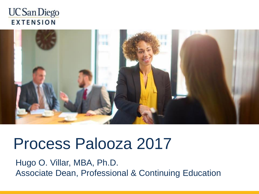



## Process Palooza 2017

Hugo O. Villar, MBA, Ph.D. Associate Dean, Professional & Continuing Education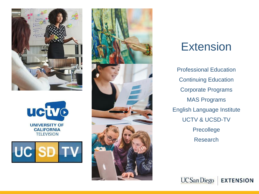







### Extension

Professional Education Continuing Education Corporate Programs MAS Programs English Language Institute UCTV & UCSD-TV Precollege Research

**UC** San Diego

**EXTENSION**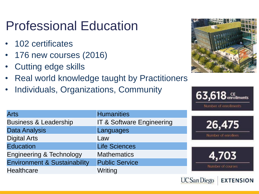### Professional Education

- 102 certificates
- 176 new courses (2016)
- Cutting edge skills
- Real world knowledge taught by Practitioners
- Individuals, Organizations, Community



 $63,618$  enrollments

Number of enrollments

**EXTENSION** 

**UC San Diego** 

| <b>Humanities</b>                    |                  |
|--------------------------------------|------------------|
| <b>IT &amp; Software Engineering</b> | 26.47            |
| Languages                            |                  |
| Law                                  | Number of enroll |
| <b>Life Sciences</b>                 |                  |
| <b>Mathematics</b>                   |                  |
| <b>Public Service</b>                | Number of cour   |
| Writing                              |                  |
|                                      |                  |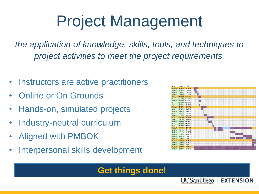## Project Management

*the application of knowledge, skills, tools, and techniques to project activities to meet the project requirements.*

- Instructors are active practitioners
- Online or On Grounds
- Hands-on, simulated projects
- Industry-neutral curriculum
- Aligned with PMBOK
- Interpersonal skills development



**EXTENSION** 

**UCSan Diego** 

### **Get things done!**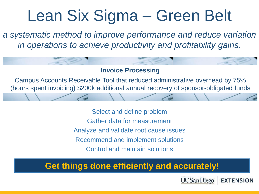# Lean Six Sigma – Green Belt

*a systematic method to improve performance and reduce variation in operations to achieve productivity and profitability gains.*

#### **Invoice Processing**

Campus Accounts Receivable Tool that reduced administrative overhead by 75% (hours spent invoicing) \$200k additional annual recovery of sponsor-obligated funds

> Select and define problem Gather data for measurement Analyze and validate root cause issues Recommend and implement solutions Control and maintain solutions

### **Get things done efficiently and accurately!**

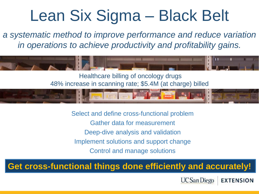## Lean Six Sigma – Black Belt

*a systematic method to improve performance and reduce variation in operations to achieve productivity and profitability gains.*



48% increase in scanning rate; \$5.4M (at charge) billed



Select and define cross-functional problem Gather data for measurement Deep-dive analysis and validation Implement solutions and support change Control and manage solutions

### **Get cross-functional things done efficiently and accurately!**

**UC** San Diego

**EXTENSION**